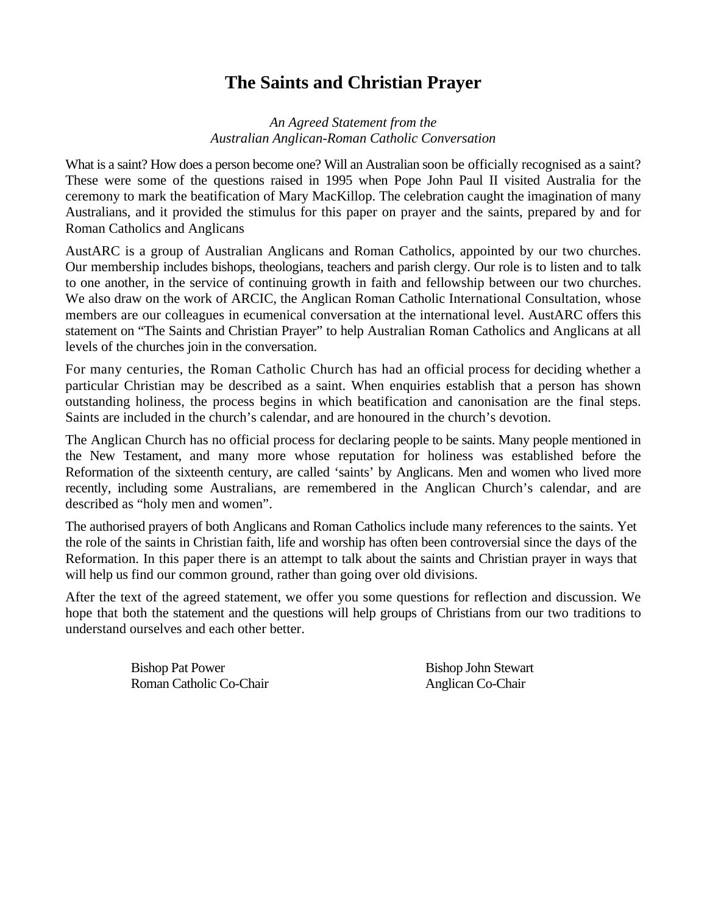# **The Saints and Christian Prayer**

#### *An Agreed Statement from the Australian Anglican-Roman Catholic Conversation*

What is a saint? How does a person become one? Will an Australian soon be officially recognised as a saint? These were some of the questions raised in 1995 when Pope John Paul II visited Australia for the ceremony to mark the beatification of Mary MacKillop. The celebration caught the imagination of many Australians, and it provided the stimulus for this paper on prayer and the saints, prepared by and for Roman Catholics and Anglicans

AustARC is a group of Australian Anglicans and Roman Catholics, appointed by our two churches. Our membership includes bishops, theologians, teachers and parish clergy. Our role is to listen and to talk to one another, in the service of continuing growth in faith and fellowship between our two churches. We also draw on the work of ARCIC, the Anglican Roman Catholic International Consultation, whose members are our colleagues in ecumenical conversation at the international level. AustARC offers this statement on "The Saints and Christian Prayer" to help Australian Roman Catholics and Anglicans at all levels of the churches join in the conversation.

For many centuries, the Roman Catholic Church has had an official process for deciding whether a particular Christian may be described as a saint. When enquiries establish that a person has shown outstanding holiness, the process begins in which beatification and canonisation are the final steps. Saints are included in the church's calendar, and are honoured in the church's devotion.

The Anglican Church has no official process for declaring people to be saints. Many people mentioned in the New Testament, and many more whose reputation for holiness was established before the Reformation of the sixteenth century, are called 'saints' by Anglicans. Men and women who lived more recently, including some Australians, are remembered in the Anglican Church's calendar, and are described as "holy men and women".

The authorised prayers of both Anglicans and Roman Catholics include many references to the saints. Yet the role of the saints in Christian faith, life and worship has often been controversial since the days of the Reformation. In this paper there is an attempt to talk about the saints and Christian prayer in ways that will help us find our common ground, rather than going over old divisions.

After the text of the agreed statement, we offer you some questions for reflection and discussion. We hope that both the statement and the questions will help groups of Christians from our two traditions to understand ourselves and each other better.

> Bishop Pat Power Bishop John Stewart Roman Catholic Co-Chair Anglican Co-Chair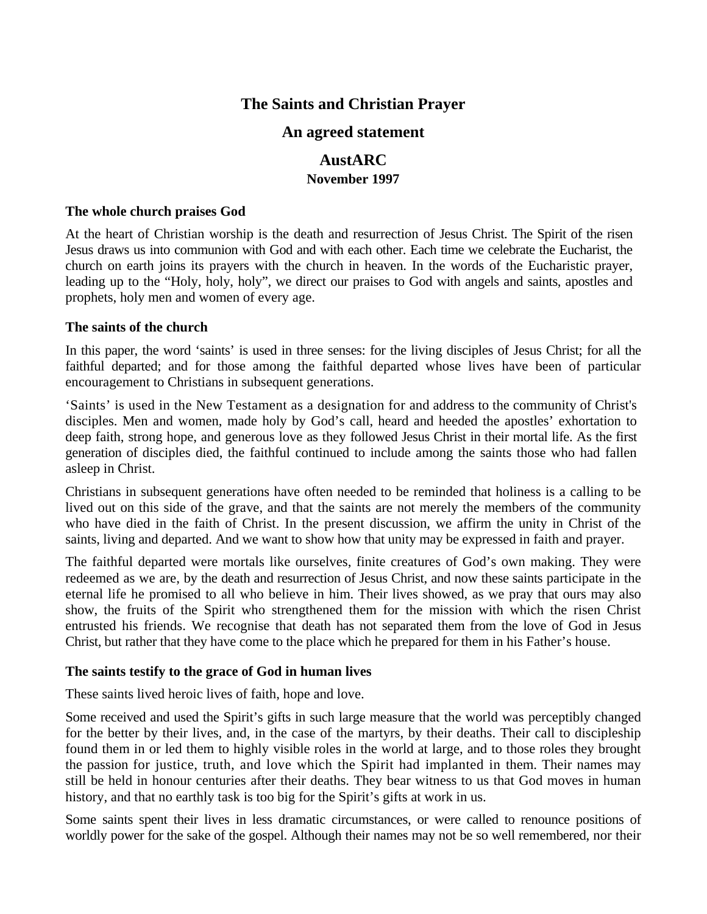# **The Saints and Christian Prayer**

# **An agreed statement**

## **AustARC November 1997**

#### **The whole church praises God**

At the heart of Christian worship is the death and resurrection of Jesus Christ. The Spirit of the risen Jesus draws us into communion with God and with each other. Each time we celebrate the Eucharist, the church on earth joins its prayers with the church in heaven. In the words of the Eucharistic prayer, leading up to the "Holy, holy, holy", we direct our praises to God with angels and saints, apostles and prophets, holy men and women of every age.

#### **The saints of the church**

In this paper, the word 'saints' is used in three senses: for the living disciples of Jesus Christ; for all the faithful departed; and for those among the faithful departed whose lives have been of particular encouragement to Christians in subsequent generations.

'Saints' is used in the New Testament as a designation for and address to the community of Christ's disciples. Men and women, made holy by God's call, heard and heeded the apostles' exhortation to deep faith, strong hope, and generous love as they followed Jesus Christ in their mortal life. As the first generation of disciples died, the faithful continued to include among the saints those who had fallen asleep in Christ.

Christians in subsequent generations have often needed to be reminded that holiness is a calling to be lived out on this side of the grave, and that the saints are not merely the members of the community who have died in the faith of Christ. In the present discussion, we affirm the unity in Christ of the saints, living and departed. And we want to show how that unity may be expressed in faith and prayer.

The faithful departed were mortals like ourselves, finite creatures of God's own making. They were redeemed as we are, by the death and resurrection of Jesus Christ, and now these saints participate in the eternal life he promised to all who believe in him. Their lives showed, as we pray that ours may also show, the fruits of the Spirit who strengthened them for the mission with which the risen Christ entrusted his friends. We recognise that death has not separated them from the love of God in Jesus Christ, but rather that they have come to the place which he prepared for them in his Father's house.

#### **The saints testify to the grace of God in human lives**

These saints lived heroic lives of faith, hope and love.

Some received and used the Spirit's gifts in such large measure that the world was perceptibly changed for the better by their lives, and, in the case of the martyrs, by their deaths. Their call to discipleship found them in or led them to highly visible roles in the world at large, and to those roles they brought the passion for justice, truth, and love which the Spirit had implanted in them. Their names may still be held in honour centuries after their deaths. They bear witness to us that God moves in human history, and that no earthly task is too big for the Spirit's gifts at work in us.

Some saints spent their lives in less dramatic circumstances, or were called to renounce positions of worldly power for the sake of the gospel. Although their names may not be so well remembered, nor their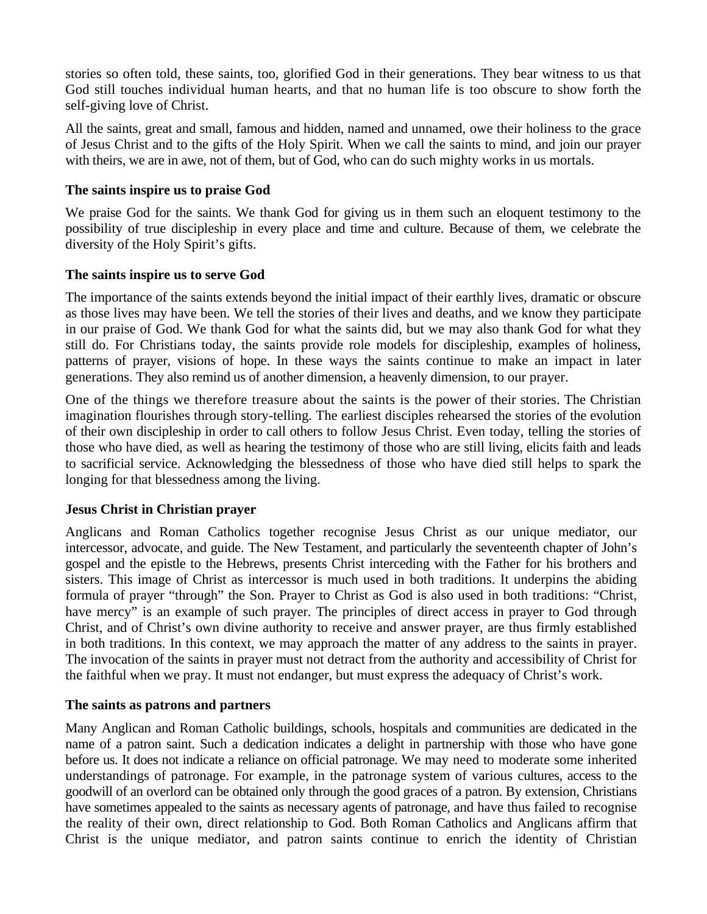stories so often told, these saints, too, glorified God in their generations. They bear witness to us that God still touches individual human hearts, and that no human life is too obscure to show forth the self-giving love of Christ.

All the saints, great and small, famous and hidden, named and unnamed, owe their holiness to the grace of Jesus Christ and to the gifts of the Holy Spirit. When we call the saints to mind, and join our prayer with theirs, we are in awe, not of them, but of God, who can do such mighty works in us mortals.

#### **The saints inspire us to praise God**

We praise God for the saints. We thank God for giving us in them such an eloquent testimony to the possibility of true discipleship in every place and time and culture. Because of them, we celebrate the diversity of the Holy Spirit's gifts.

#### **The saints inspire us to serve God**

The importance of the saints extends beyond the initial impact of their earthly lives, dramatic or obscure as those lives may have been. We tell the stories of their lives and deaths, and we know they participate in our praise of God. We thank God for what the saints did, but we may also thank God for what they still do. For Christians today, the saints provide role models for discipleship, examples of holiness, patterns of prayer, visions of hope. In these ways the saints continue to make an impact in later generations. They also remind us of another dimension, a heavenly dimension, to our prayer.

One of the things we therefore treasure about the saints is the power of their stories. The Christian imagination flourishes through story-telling. The earliest disciples rehearsed the stories of the evolution of their own discipleship in order to call others to follow Jesus Christ. Even today, telling the stories of those who have died, as well as hearing the testimony of those who are still living, elicits faith and leads to sacrificial service. Acknowledging the blessedness of those who have died still helps to spark the longing for that blessedness among the living.

#### **Jesus Christ in Christian prayer**

Anglicans and Roman Catholics together recognise Jesus Christ as our unique mediator, our intercessor, advocate, and guide. The New Testament, and particularly the seventeenth chapter of John's gospel and the epistle to the Hebrews, presents Christ interceding with the Father for his brothers and sisters. This image of Christ as intercessor is much used in both traditions. It underpins the abiding formula of prayer "through" the Son. Prayer to Christ as God is also used in both traditions: "Christ, have mercy" is an example of such prayer. The principles of direct access in prayer to God through Christ, and of Christ's own divine authority to receive and answer prayer, are thus firmly established in both traditions. In this context, we may approach the matter of any address to the saints in prayer. The invocation of the saints in prayer must not detract from the authority and accessibility of Christ for the faithful when we pray. It must not endanger, but must express the adequacy of Christ's work.

#### **The saints as patrons and partners**

Many Anglican and Roman Catholic buildings, schools, hospitals and communities are dedicated in the name of a patron saint. Such a dedication indicates a delight in partnership with those who have gone before us. It does not indicate a reliance on official patronage. We may need to moderate some inherited understandings of patronage. For example, in the patronage system of various cultures, access to the goodwill of an overlord can be obtained only through the good graces of a patron. By extension, Christians have sometimes appealed to the saints as necessary agents of patronage, and have thus failed to recognise the reality of their own, direct relationship to God. Both Roman Catholics and Anglicans affirm that Christ is the unique mediator, and patron saints continue to enrich the identity of Christian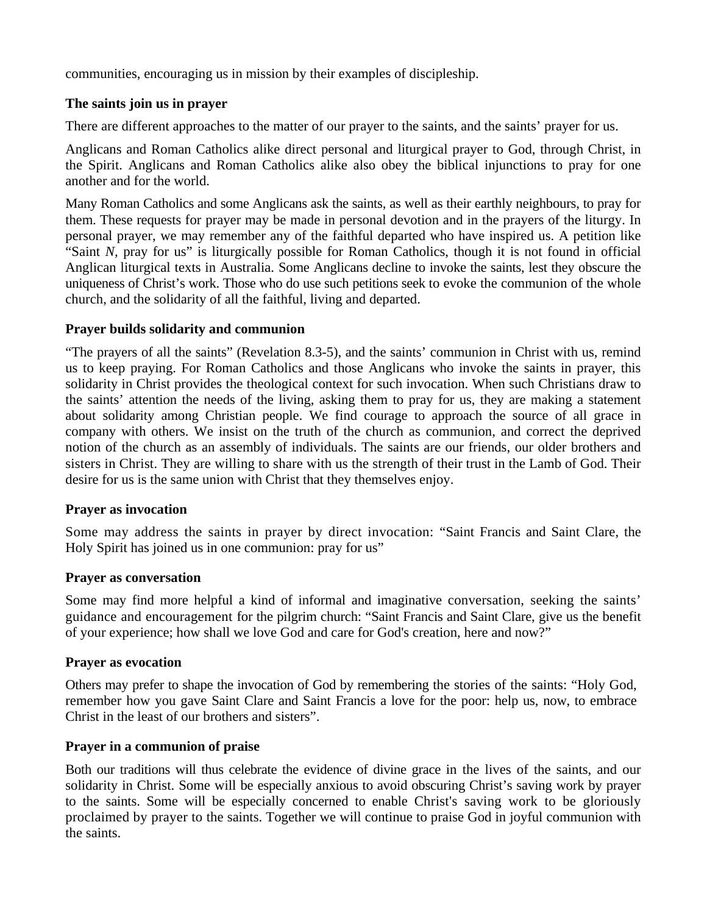communities, encouraging us in mission by their examples of discipleship.

### **The saints join us in prayer**

There are different approaches to the matter of our prayer to the saints, and the saints' prayer for us.

Anglicans and Roman Catholics alike direct personal and liturgical prayer to God, through Christ, in the Spirit. Anglicans and Roman Catholics alike also obey the biblical injunctions to pray for one another and for the world.

Many Roman Catholics and some Anglicans ask the saints, as well as their earthly neighbours, to pray for them. These requests for prayer may be made in personal devotion and in the prayers of the liturgy. In personal prayer, we may remember any of the faithful departed who have inspired us. A petition like "Saint *N,* pray for us" is liturgically possible for Roman Catholics, though it is not found in official Anglican liturgical texts in Australia. Some Anglicans decline to invoke the saints, lest they obscure the uniqueness of Christ's work. Those who do use such petitions seek to evoke the communion of the whole church, and the solidarity of all the faithful, living and departed.

### **Prayer builds solidarity and communion**

"The prayers of all the saints" (Revelation 8.3-5), and the saints' communion in Christ with us, remind us to keep praying. For Roman Catholics and those Anglicans who invoke the saints in prayer, this solidarity in Christ provides the theological context for such invocation. When such Christians draw to the saints' attention the needs of the living, asking them to pray for us, they are making a statement about solidarity among Christian people. We find courage to approach the source of all grace in company with others. We insist on the truth of the church as communion, and correct the deprived notion of the church as an assembly of individuals. The saints are our friends, our older brothers and sisters in Christ. They are willing to share with us the strength of their trust in the Lamb of God. Their desire for us is the same union with Christ that they themselves enjoy.

#### **Prayer as invocation**

Some may address the saints in prayer by direct invocation: "Saint Francis and Saint Clare, the Holy Spirit has joined us in one communion: pray for us"

#### **Prayer as conversation**

Some may find more helpful a kind of informal and imaginative conversation, seeking the saints' guidance and encouragement for the pilgrim church: "Saint Francis and Saint Clare, give us the benefit of your experience; how shall we love God and care for God's creation, here and now?"

#### **Prayer as evocation**

Others may prefer to shape the invocation of God by remembering the stories of the saints: "Holy God, remember how you gave Saint Clare and Saint Francis a love for the poor: help us, now, to embrace Christ in the least of our brothers and sisters".

## **Prayer in a communion of praise**

Both our traditions will thus celebrate the evidence of divine grace in the lives of the saints, and our solidarity in Christ. Some will be especially anxious to avoid obscuring Christ's saving work by prayer to the saints. Some will be especially concerned to enable Christ's saving work to be gloriously proclaimed by prayer to the saints. Together we will continue to praise God in joyful communion with the saints.